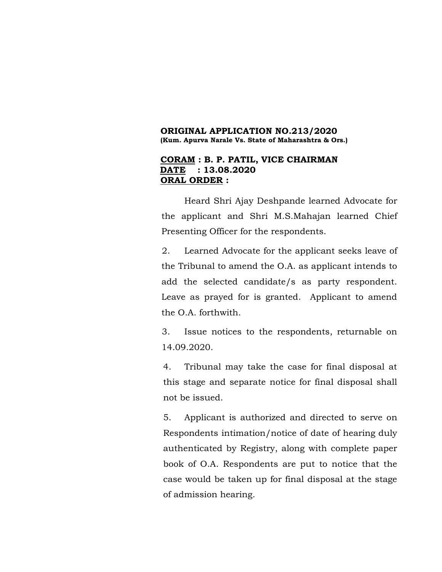### **ORIGINAL APPLICATION NO.213/2020 (Kum. Apurva Narale Vs. State of Maharashtra & Ors.)**

### **CORAM : B. P. PATIL, VICE CHAIRMAN DATE : 13.08.2020 ORAL ORDER :**

Heard Shri Ajay Deshpande learned Advocate for the applicant and Shri M.S.Mahajan learned Chief Presenting Officer for the respondents.

2. Learned Advocate for the applicant seeks leave of the Tribunal to amend the O.A. as applicant intends to add the selected candidate/s as party respondent. Leave as prayed for is granted. Applicant to amend the O.A. forthwith.

3. Issue notices to the respondents, returnable on 14.09.2020.

4. Tribunal may take the case for final disposal at this stage and separate notice for final disposal shall not be issued.

5. Applicant is authorized and directed to serve on Respondents intimation/notice of date of hearing duly authenticated by Registry, along with complete paper book of O.A. Respondents are put to notice that the case would be taken up for final disposal at the stage of admission hearing.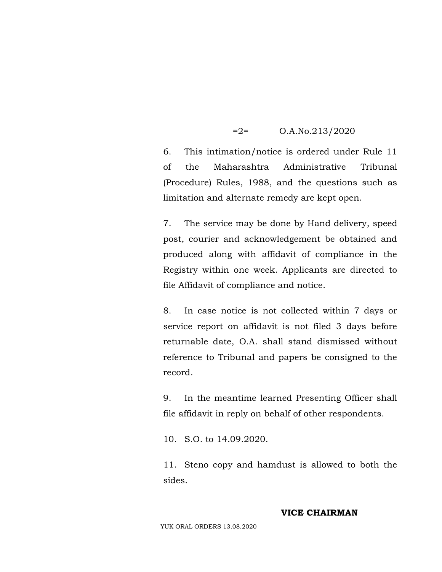### =2= O.A.No.213/2020

6. This intimation/notice is ordered under Rule 11 of the Maharashtra Administrative Tribunal (Procedure) Rules, 1988, and the questions such as limitation and alternate remedy are kept open.

7. The service may be done by Hand delivery, speed post, courier and acknowledgement be obtained and produced along with affidavit of compliance in the Registry within one week. Applicants are directed to file Affidavit of compliance and notice.

8. In case notice is not collected within 7 days or service report on affidavit is not filed 3 days before returnable date, O.A. shall stand dismissed without reference to Tribunal and papers be consigned to the record.

9. In the meantime learned Presenting Officer shall file affidavit in reply on behalf of other respondents.

10. S.O. to 14.09.2020.

11. Steno copy and hamdust is allowed to both the sides.

### **VICE CHAIRMAN**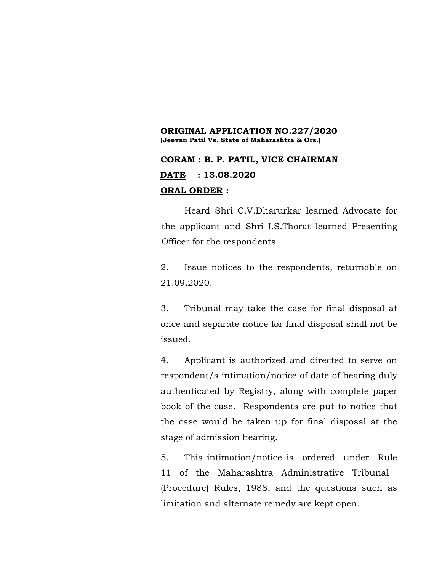### **ORIGINAL APPLICATION NO.227/2020 (Jeevan Patil Vs. State of Maharashtra & Ors.)**

## **CORAM : B. P. PATIL, VICE CHAIRMAN DATE : 13.08.2020 ORAL ORDER :**

Heard Shri C.V.Dharurkar learned Advocate for the applicant and Shri I.S.Thorat learned Presenting Officer for the respondents.

2. Issue notices to the respondents, returnable on 21.09.2020.

3. Tribunal may take the case for final disposal at once and separate notice for final disposal shall not be issued.

4. Applicant is authorized and directed to serve on respondent/s intimation/notice of date of hearing duly authenticated by Registry, along with complete paper book of the case. Respondents are put to notice that the case would be taken up for final disposal at the stage of admission hearing.

5. This intimation/notice is ordered under Rule 11 of the Maharashtra Administrative Tribunal (Procedure) Rules, 1988, and the questions such as limitation and alternate remedy are kept open.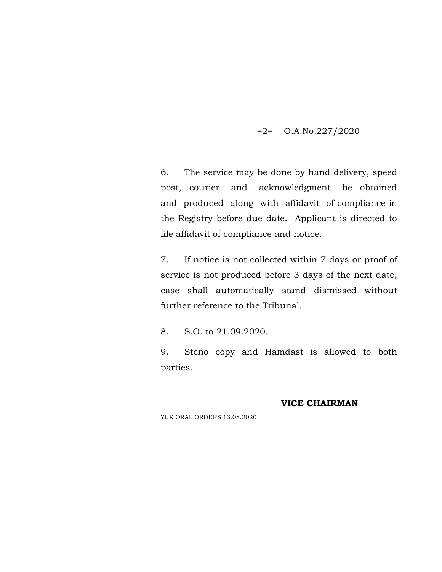### $=2$ = O.A.No.227/2020

6. The service may be done by hand delivery, speed post, courier and acknowledgment be obtained and produced along with affidavit of compliance in the Registry before due date. Applicant is directed to file affidavit of compliance and notice.

7. If notice is not collected within 7 days or proof of service is not produced before 3 days of the next date, case shall automatically stand dismissed without further reference to the Tribunal.

8. S.O. to 21.09.2020.

9. Steno copy and Hamdast is allowed to both parties.

### **VICE CHAIRMAN**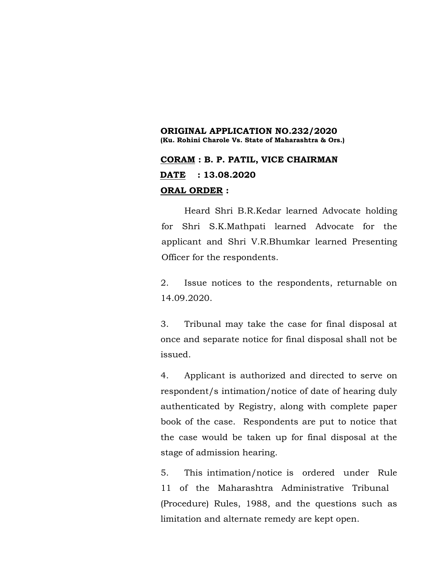### **ORIGINAL APPLICATION NO.232/2020 (Ku. Rohini Charole Vs. State of Maharashtra & Ors.)**

# **CORAM : B. P. PATIL, VICE CHAIRMAN DATE : 13.08.2020 ORAL ORDER :**

Heard Shri B.R.Kedar learned Advocate holding for Shri S.K.Mathpati learned Advocate for the applicant and Shri V.R.Bhumkar learned Presenting Officer for the respondents.

2. Issue notices to the respondents, returnable on 14.09.2020.

3. Tribunal may take the case for final disposal at once and separate notice for final disposal shall not be issued.

4. Applicant is authorized and directed to serve on respondent/s intimation/notice of date of hearing duly authenticated by Registry, along with complete paper book of the case. Respondents are put to notice that the case would be taken up for final disposal at the stage of admission hearing.

5. This intimation/notice is ordered under Rule 11 of the Maharashtra Administrative Tribunal (Procedure) Rules, 1988, and the questions such as limitation and alternate remedy are kept open.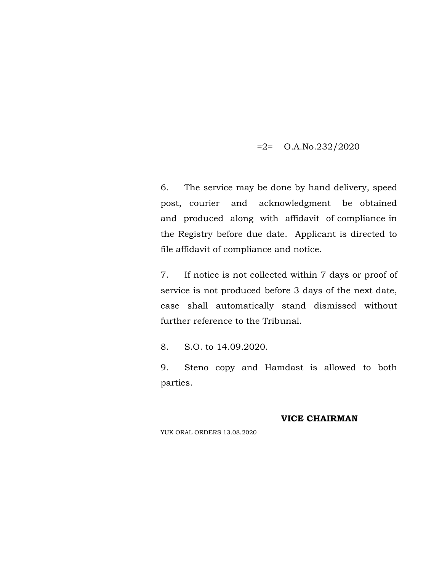$=2$ = O.A.No.232/2020

6. The service may be done by hand delivery, speed post, courier and acknowledgment be obtained and produced along with affidavit of compliance in the Registry before due date. Applicant is directed to file affidavit of compliance and notice.

7. If notice is not collected within 7 days or proof of service is not produced before 3 days of the next date, case shall automatically stand dismissed without further reference to the Tribunal.

8. S.O. to 14.09.2020.

9. Steno copy and Hamdast is allowed to both parties.

### **VICE CHAIRMAN**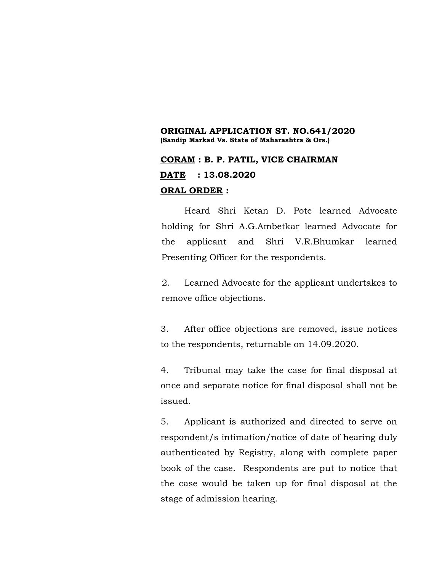### **ORIGINAL APPLICATION ST. NO.641/2020 (Sandip Markad Vs. State of Maharashtra & Ors.)**

## **CORAM : B. P. PATIL, VICE CHAIRMAN DATE : 13.08.2020 ORAL ORDER :**

Heard Shri Ketan D. Pote learned Advocate holding for Shri A.G.Ambetkar learned Advocate for the applicant and Shri V.R.Bhumkar learned Presenting Officer for the respondents.

2. Learned Advocate for the applicant undertakes to remove office objections.

3. After office objections are removed, issue notices to the respondents, returnable on 14.09.2020.

4. Tribunal may take the case for final disposal at once and separate notice for final disposal shall not be issued.

5. Applicant is authorized and directed to serve on respondent/s intimation/notice of date of hearing duly authenticated by Registry, along with complete paper book of the case. Respondents are put to notice that the case would be taken up for final disposal at the stage of admission hearing.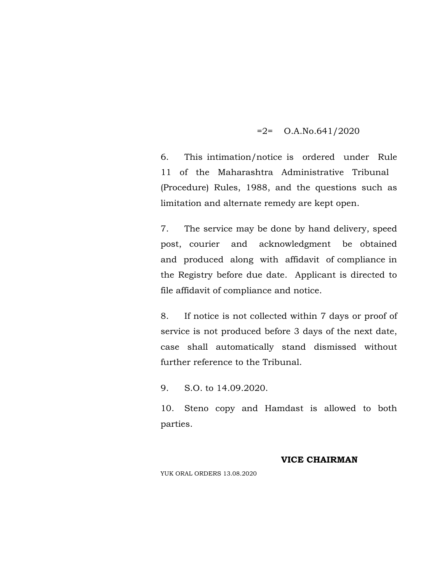### $=2$ = O.A.No.641/2020

6. This intimation/notice is ordered under Rule 11 of the Maharashtra Administrative Tribunal (Procedure) Rules, 1988, and the questions such as limitation and alternate remedy are kept open.

7. The service may be done by hand delivery, speed post, courier and acknowledgment be obtained and produced along with affidavit of compliance in the Registry before due date. Applicant is directed to file affidavit of compliance and notice.

8. If notice is not collected within 7 days or proof of service is not produced before 3 days of the next date, case shall automatically stand dismissed without further reference to the Tribunal.

9. S.O. to 14.09.2020.

10. Steno copy and Hamdast is allowed to both parties.

#### **VICE CHAIRMAN**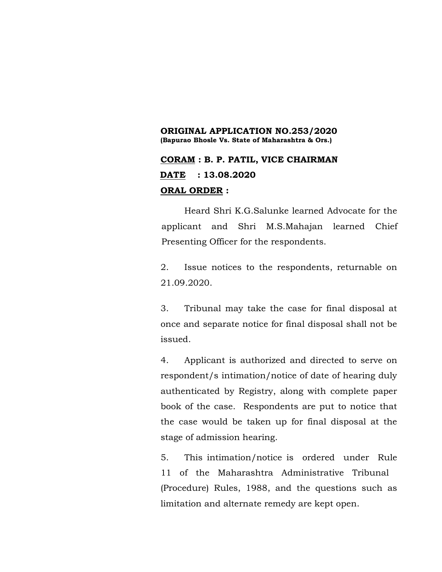### **ORIGINAL APPLICATION NO.253/2020 (Bapurao Bhosle Vs. State of Maharashtra & Ors.)**

## **CORAM : B. P. PATIL, VICE CHAIRMAN DATE : 13.08.2020 ORAL ORDER :**

Heard Shri K.G.Salunke learned Advocate for the applicant and Shri M.S.Mahajan learned Chief Presenting Officer for the respondents.

2. Issue notices to the respondents, returnable on 21.09.2020.

3. Tribunal may take the case for final disposal at once and separate notice for final disposal shall not be issued.

4. Applicant is authorized and directed to serve on respondent/s intimation/notice of date of hearing duly authenticated by Registry, along with complete paper book of the case. Respondents are put to notice that the case would be taken up for final disposal at the stage of admission hearing.

5. This intimation/notice is ordered under Rule 11 of the Maharashtra Administrative Tribunal (Procedure) Rules, 1988, and the questions such as limitation and alternate remedy are kept open.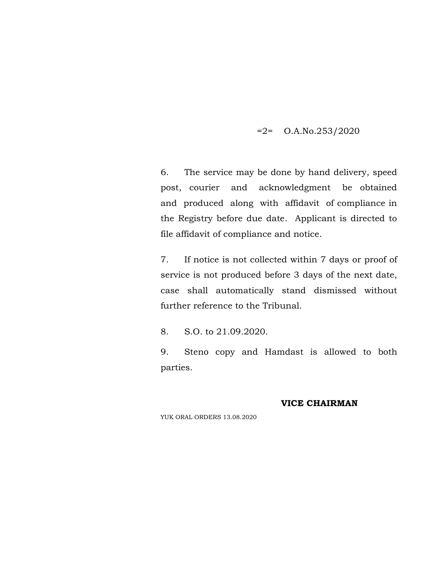### $=2$ = O.A.No.253/2020

6. The service may be done by hand delivery, speed post, courier and acknowledgment be obtained and produced along with affidavit of compliance in the Registry before due date. Applicant is directed to file affidavit of compliance and notice.

7. If notice is not collected within 7 days or proof of service is not produced before 3 days of the next date, case shall automatically stand dismissed without further reference to the Tribunal.

8. S.O. to 21.09.2020.

9. Steno copy and Hamdast is allowed to both parties.

### **VICE CHAIRMAN**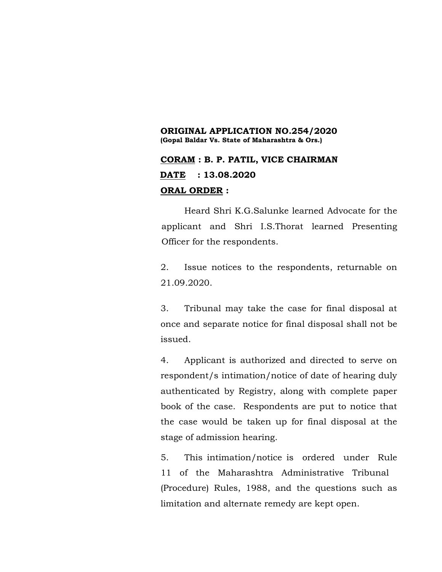### **ORIGINAL APPLICATION NO.254/2020 (Gopal Baldar Vs. State of Maharashtra & Ors.)**

## **CORAM : B. P. PATIL, VICE CHAIRMAN DATE : 13.08.2020 ORAL ORDER :**

Heard Shri K.G.Salunke learned Advocate for the applicant and Shri I.S.Thorat learned Presenting Officer for the respondents.

2. Issue notices to the respondents, returnable on 21.09.2020.

3. Tribunal may take the case for final disposal at once and separate notice for final disposal shall not be issued.

4. Applicant is authorized and directed to serve on respondent/s intimation/notice of date of hearing duly authenticated by Registry, along with complete paper book of the case. Respondents are put to notice that the case would be taken up for final disposal at the stage of admission hearing.

5. This intimation/notice is ordered under Rule 11 of the Maharashtra Administrative Tribunal (Procedure) Rules, 1988, and the questions such as limitation and alternate remedy are kept open.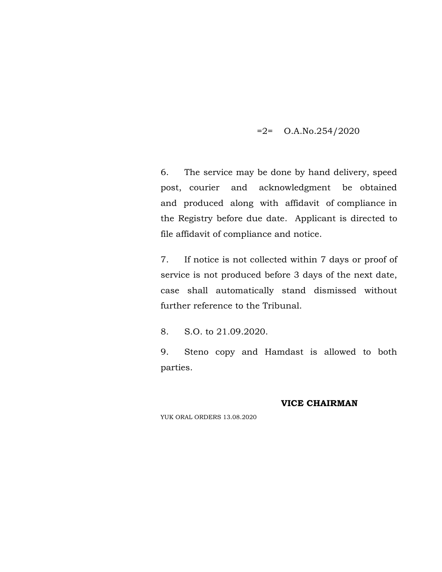### $=2$ = O.A.No.254/2020

6. The service may be done by hand delivery, speed post, courier and acknowledgment be obtained and produced along with affidavit of compliance in the Registry before due date. Applicant is directed to file affidavit of compliance and notice.

7. If notice is not collected within 7 days or proof of service is not produced before 3 days of the next date, case shall automatically stand dismissed without further reference to the Tribunal.

8. S.O. to 21.09.2020.

9. Steno copy and Hamdast is allowed to both parties.

### **VICE CHAIRMAN**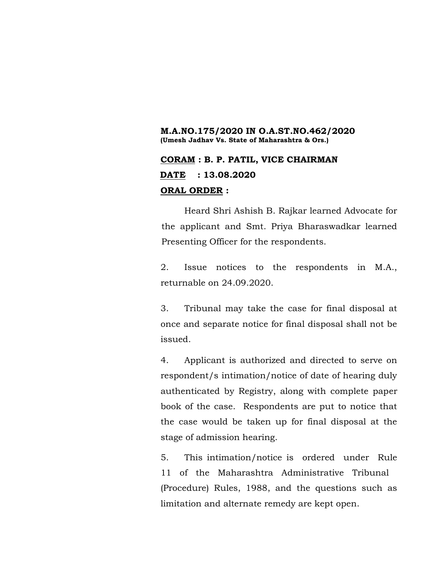#### **M.A.NO.175/2020 IN O.A.ST.NO.462/2020 (Umesh Jadhav Vs. State of Maharashtra & Ors.)**

## **CORAM : B. P. PATIL, VICE CHAIRMAN DATE : 13.08.2020 ORAL ORDER :**

Heard Shri Ashish B. Rajkar learned Advocate for the applicant and Smt. Priya Bharaswadkar learned Presenting Officer for the respondents.

2. Issue notices to the respondents in M.A., returnable on 24.09.2020.

3. Tribunal may take the case for final disposal at once and separate notice for final disposal shall not be issued.

4. Applicant is authorized and directed to serve on respondent/s intimation/notice of date of hearing duly authenticated by Registry, along with complete paper book of the case. Respondents are put to notice that the case would be taken up for final disposal at the stage of admission hearing.

5. This intimation/notice is ordered under Rule 11 of the Maharashtra Administrative Tribunal (Procedure) Rules, 1988, and the questions such as limitation and alternate remedy are kept open.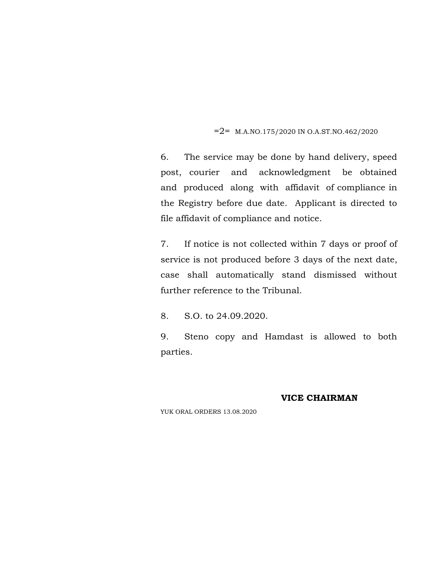#### $=2$  = M.A.NO.175/2020 IN O.A.ST.NO.462/2020

6. The service may be done by hand delivery, speed post, courier and acknowledgment be obtained and produced along with affidavit of compliance in the Registry before due date. Applicant is directed to file affidavit of compliance and notice.

7. If notice is not collected within 7 days or proof of service is not produced before 3 days of the next date, case shall automatically stand dismissed without further reference to the Tribunal.

8. S.O. to 24.09.2020.

9. Steno copy and Hamdast is allowed to both parties.

#### **VICE CHAIRMAN**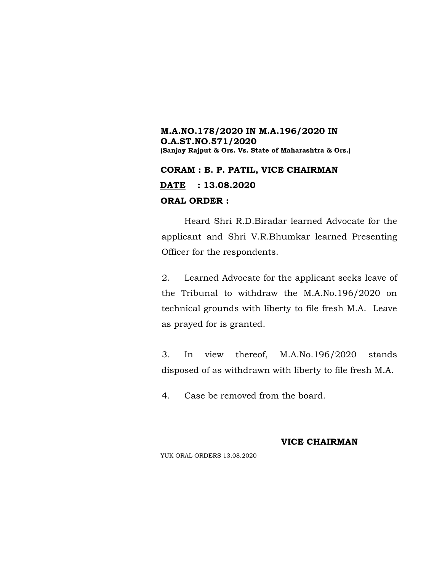### **M.A.NO.178/2020 IN M.A.196/2020 IN O.A.ST.NO.571/2020 (Sanjay Rajput & Ors. Vs. State of Maharashtra & Ors.)**

# **CORAM : B. P. PATIL, VICE CHAIRMAN DATE : 13.08.2020**

### **ORAL ORDER :**

Heard Shri R.D.Biradar learned Advocate for the applicant and Shri V.R.Bhumkar learned Presenting Officer for the respondents.

2. Learned Advocate for the applicant seeks leave of the Tribunal to withdraw the M.A.No.196/2020 on technical grounds with liberty to file fresh M.A. Leave as prayed for is granted.

3. In view thereof, M.A.No.196/2020 stands disposed of as withdrawn with liberty to file fresh M.A.

4. Case be removed from the board.

### **VICE CHAIRMAN**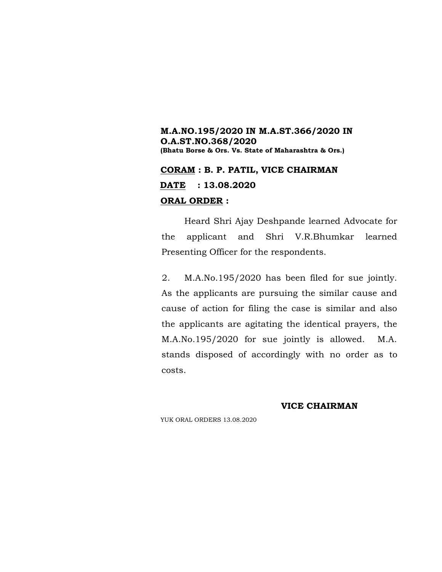### **M.A.NO.195/2020 IN M.A.ST.366/2020 IN O.A.ST.NO.368/2020 (Bhatu Borse & Ors. Vs. State of Maharashtra & Ors.)**

**CORAM : B. P. PATIL, VICE CHAIRMAN DATE : 13.08.2020**

### **ORAL ORDER :**

Heard Shri Ajay Deshpande learned Advocate for the applicant and Shri V.R.Bhumkar learned Presenting Officer for the respondents.

2. M.A.No.195/2020 has been filed for sue jointly. As the applicants are pursuing the similar cause and cause of action for filing the case is similar and also the applicants are agitating the identical prayers, the M.A.No.195/2020 for sue jointly is allowed. M.A. stands disposed of accordingly with no order as to costs.

### **VICE CHAIRMAN**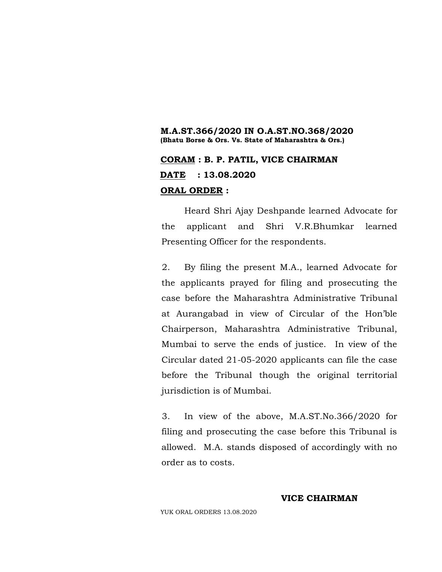### **M.A.ST.366/2020 IN O.A.ST.NO.368/2020 (Bhatu Borse & Ors. Vs. State of Maharashtra & Ors.)**

## **CORAM : B. P. PATIL, VICE CHAIRMAN DATE : 13.08.2020 ORAL ORDER :**

Heard Shri Ajay Deshpande learned Advocate for the applicant and Shri V.R.Bhumkar learned Presenting Officer for the respondents.

2. By filing the present M.A., learned Advocate for the applicants prayed for filing and prosecuting the case before the Maharashtra Administrative Tribunal at Aurangabad in view of Circular of the Hon'ble Chairperson, Maharashtra Administrative Tribunal, Mumbai to serve the ends of justice. In view of the Circular dated 21-05-2020 applicants can file the case before the Tribunal though the original territorial jurisdiction is of Mumbai.

3. In view of the above, M.A.ST.No.366/2020 for filing and prosecuting the case before this Tribunal is allowed. M.A. stands disposed of accordingly with no order as to costs.

#### **VICE CHAIRMAN**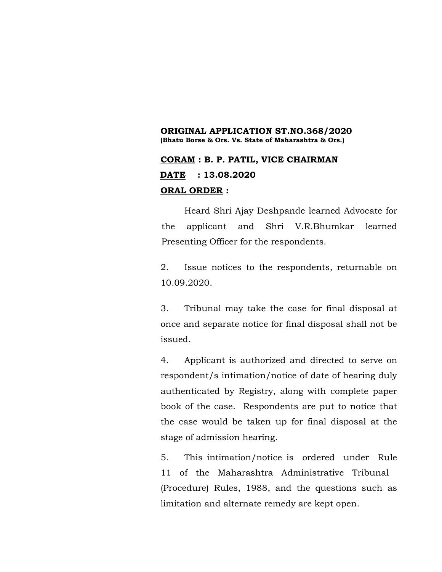### **ORIGINAL APPLICATION ST.NO.368/2020 (Bhatu Borse & Ors. Vs. State of Maharashtra & Ors.)**

## **CORAM : B. P. PATIL, VICE CHAIRMAN DATE : 13.08.2020 ORAL ORDER :**

Heard Shri Ajay Deshpande learned Advocate for the applicant and Shri V.R.Bhumkar learned Presenting Officer for the respondents.

2. Issue notices to the respondents, returnable on 10.09.2020.

3. Tribunal may take the case for final disposal at once and separate notice for final disposal shall not be issued.

4. Applicant is authorized and directed to serve on respondent/s intimation/notice of date of hearing duly authenticated by Registry, along with complete paper book of the case. Respondents are put to notice that the case would be taken up for final disposal at the stage of admission hearing.

5. This intimation/notice is ordered under Rule 11 of the Maharashtra Administrative Tribunal (Procedure) Rules, 1988, and the questions such as limitation and alternate remedy are kept open.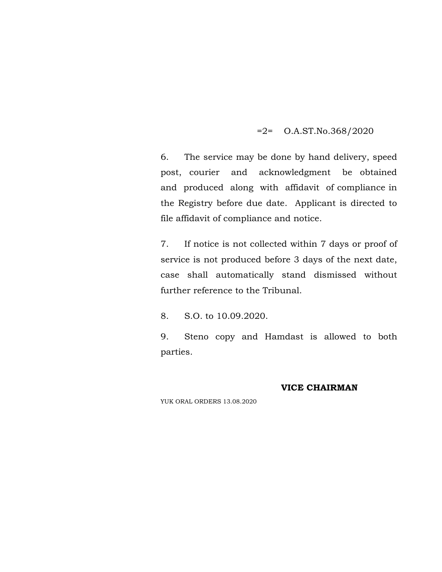### =2= O.A.ST.No.368/2020

6. The service may be done by hand delivery, speed post, courier and acknowledgment be obtained and produced along with affidavit of compliance in the Registry before due date. Applicant is directed to file affidavit of compliance and notice.

7. If notice is not collected within 7 days or proof of service is not produced before 3 days of the next date, case shall automatically stand dismissed without further reference to the Tribunal.

8. S.O. to 10.09.2020.

9. Steno copy and Hamdast is allowed to both parties.

#### **VICE CHAIRMAN**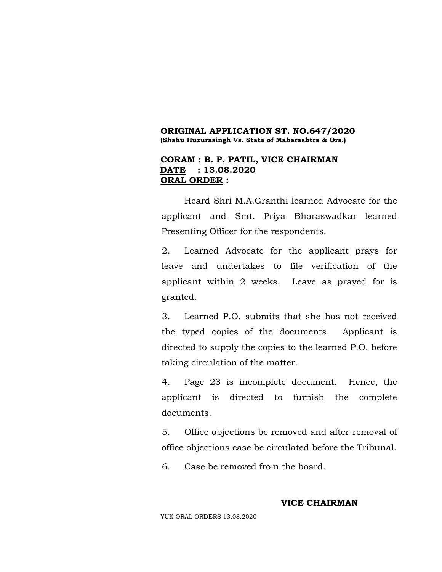#### **ORIGINAL APPLICATION ST. NO.647/2020 (Shahu Huzurasingh Vs. State of Maharashtra & Ors.)**

### **CORAM : B. P. PATIL, VICE CHAIRMAN DATE : 13.08.2020 ORAL ORDER :**

Heard Shri M.A.Granthi learned Advocate for the applicant and Smt. Priya Bharaswadkar learned Presenting Officer for the respondents.

2. Learned Advocate for the applicant prays for leave and undertakes to file verification of the applicant within 2 weeks. Leave as prayed for is granted.

3. Learned P.O. submits that she has not received the typed copies of the documents. Applicant is directed to supply the copies to the learned P.O. before taking circulation of the matter.

4. Page 23 is incomplete document. Hence, the applicant is directed to furnish the complete documents.

5. Office objections be removed and after removal of office objections case be circulated before the Tribunal.

6. Case be removed from the board.

### **VICE CHAIRMAN**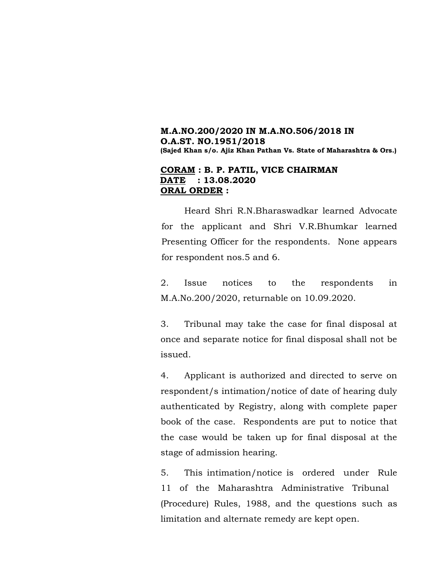### **M.A.NO.200/2020 IN M.A.NO.506/2018 IN O.A.ST. NO.1951/2018 (Sajed Khan s/o. Ajiz Khan Pathan Vs. State of Maharashtra & Ors.)**

### **CORAM : B. P. PATIL, VICE CHAIRMAN DATE : 13.08.2020 ORAL ORDER :**

Heard Shri R.N.Bharaswadkar learned Advocate for the applicant and Shri V.R.Bhumkar learned Presenting Officer for the respondents. None appears for respondent nos.5 and 6.

2. Issue notices to the respondents in M.A.No.200/2020, returnable on 10.09.2020.

3. Tribunal may take the case for final disposal at once and separate notice for final disposal shall not be issued.

4. Applicant is authorized and directed to serve on respondent/s intimation/notice of date of hearing duly authenticated by Registry, along with complete paper book of the case. Respondents are put to notice that the case would be taken up for final disposal at the stage of admission hearing.

5. This intimation/notice is ordered under Rule 11 of the Maharashtra Administrative Tribunal (Procedure) Rules, 1988, and the questions such as limitation and alternate remedy are kept open.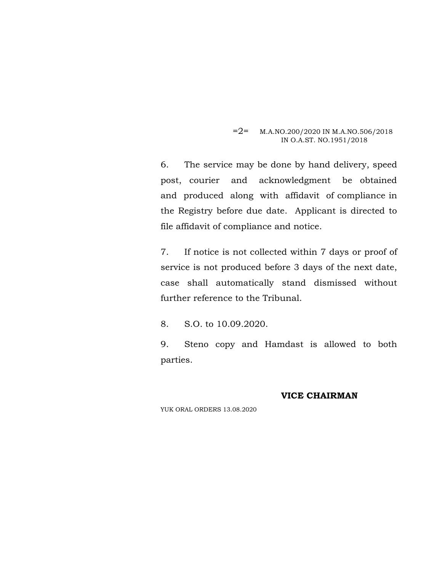#### $=2$ = M.A.NO.200/2020 IN M.A.NO.506/2018 IN O.A.ST. NO.1951/2018

6. The service may be done by hand delivery, speed post, courier and acknowledgment be obtained and produced along with affidavit of compliance in the Registry before due date. Applicant is directed to file affidavit of compliance and notice.

7. If notice is not collected within 7 days or proof of service is not produced before 3 days of the next date, case shall automatically stand dismissed without further reference to the Tribunal.

8. S.O. to 10.09.2020.

9. Steno copy and Hamdast is allowed to both parties.

#### **VICE CHAIRMAN**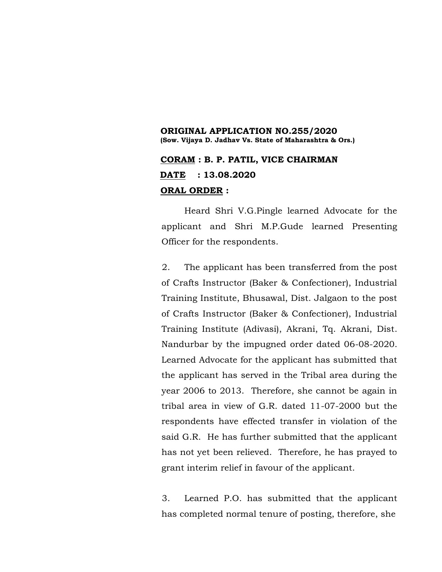### **ORIGINAL APPLICATION NO.255/2020 (Sow. Vijaya D. Jadhav Vs. State of Maharashtra & Ors.) CORAM : B. P. PATIL, VICE CHAIRMAN DATE : 13.08.2020 ORAL ORDER :**

Heard Shri V.G.Pingle learned Advocate for the applicant and Shri M.P.Gude learned Presenting Officer for the respondents.

2. The applicant has been transferred from the post of Crafts Instructor (Baker & Confectioner), Industrial Training Institute, Bhusawal, Dist. Jalgaon to the post of Crafts Instructor (Baker & Confectioner), Industrial Training Institute (Adivasi), Akrani, Tq. Akrani, Dist. Nandurbar by the impugned order dated 06-08-2020. Learned Advocate for the applicant has submitted that the applicant has served in the Tribal area during the year 2006 to 2013. Therefore, she cannot be again in tribal area in view of G.R. dated 11-07-2000 but the respondents have effected transfer in violation of the said G.R. He has further submitted that the applicant has not yet been relieved. Therefore, he has prayed to grant interim relief in favour of the applicant.

3. Learned P.O. has submitted that the applicant has completed normal tenure of posting, therefore, she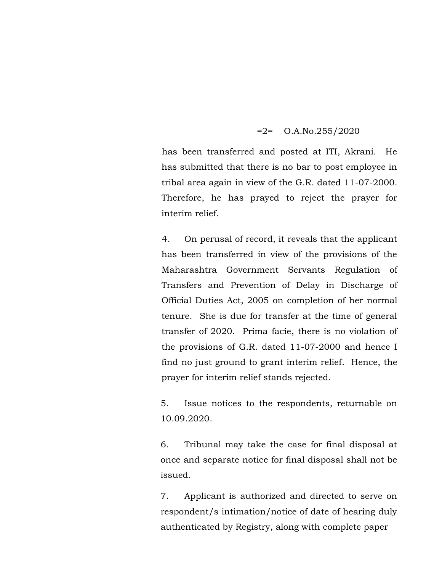### $=2$ = O.A.No.255/2020

has been transferred and posted at ITI, Akrani. He has submitted that there is no bar to post employee in tribal area again in view of the G.R. dated 11-07-2000. Therefore, he has prayed to reject the prayer for interim relief.

4. On perusal of record, it reveals that the applicant has been transferred in view of the provisions of the Maharashtra Government Servants Regulation of Transfers and Prevention of Delay in Discharge of Official Duties Act, 2005 on completion of her normal tenure. She is due for transfer at the time of general transfer of 2020. Prima facie, there is no violation of the provisions of G.R. dated 11-07-2000 and hence I find no just ground to grant interim relief. Hence, the prayer for interim relief stands rejected.

5. Issue notices to the respondents, returnable on 10.09.2020.

6. Tribunal may take the case for final disposal at once and separate notice for final disposal shall not be issued.

7. Applicant is authorized and directed to serve on respondent/s intimation/notice of date of hearing duly authenticated by Registry, along with complete paper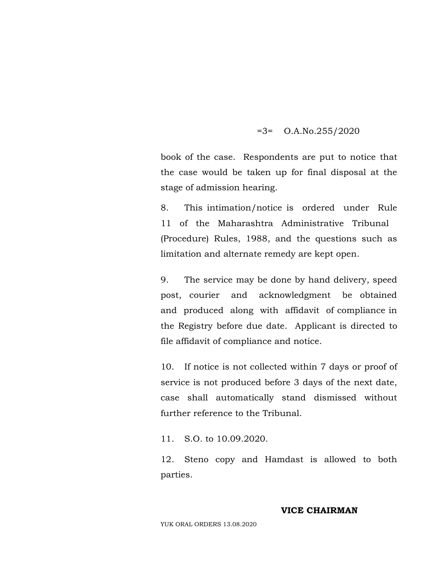### =3= O.A.No.255/2020

book of the case. Respondents are put to notice that the case would be taken up for final disposal at the stage of admission hearing.

8. This intimation/notice is ordered under Rule 11 of the Maharashtra Administrative Tribunal (Procedure) Rules, 1988, and the questions such as limitation and alternate remedy are kept open.

9. The service may be done by hand delivery, speed post, courier and acknowledgment be obtained and produced along with affidavit of compliance in the Registry before due date. Applicant is directed to file affidavit of compliance and notice.

10. If notice is not collected within 7 days or proof of service is not produced before 3 days of the next date, case shall automatically stand dismissed without further reference to the Tribunal.

11. S.O. to 10.09.2020.

12. Steno copy and Hamdast is allowed to both parties.

### **VICE CHAIRMAN**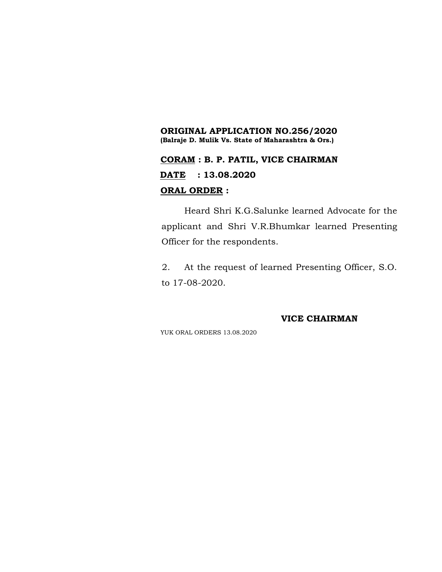### **ORIGINAL APPLICATION NO.256/2020 (Balraje D. Mulik Vs. State of Maharashtra & Ors.)**

# **CORAM : B. P. PATIL, VICE CHAIRMAN DATE : 13.08.2020 ORAL ORDER :**

Heard Shri K.G.Salunke learned Advocate for the applicant and Shri V.R.Bhumkar learned Presenting Officer for the respondents.

2. At the request of learned Presenting Officer, S.O. to 17-08-2020.

#### **VICE CHAIRMAN**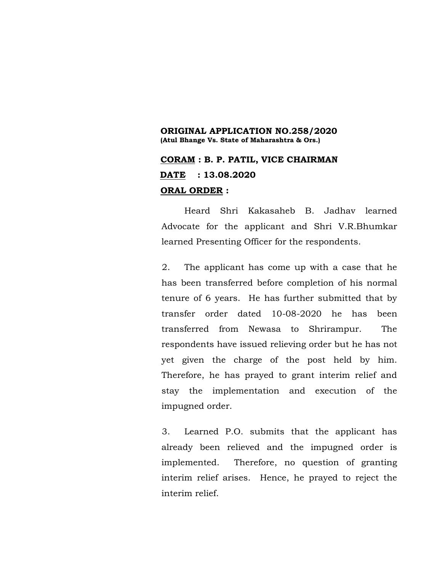### **ORIGINAL APPLICATION NO.258/2020 (Atul Bhange Vs. State of Maharashtra & Ors.)**

## **CORAM : B. P. PATIL, VICE CHAIRMAN DATE : 13.08.2020 ORAL ORDER :**

Heard Shri Kakasaheb B. Jadhav learned Advocate for the applicant and Shri V.R.Bhumkar learned Presenting Officer for the respondents.

2. The applicant has come up with a case that he has been transferred before completion of his normal tenure of 6 years. He has further submitted that by transfer order dated 10-08-2020 he has been transferred from Newasa to Shrirampur. The respondents have issued relieving order but he has not yet given the charge of the post held by him. Therefore, he has prayed to grant interim relief and stay the implementation and execution of the impugned order.

3. Learned P.O. submits that the applicant has already been relieved and the impugned order is implemented. Therefore, no question of granting interim relief arises. Hence, he prayed to reject the interim relief.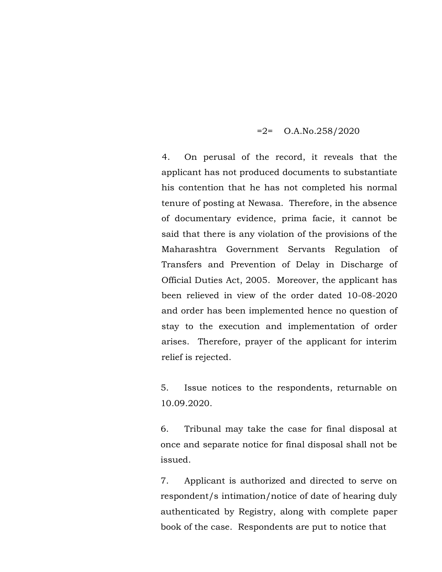### $=2$ = O.A.No.258/2020

4. On perusal of the record, it reveals that the applicant has not produced documents to substantiate his contention that he has not completed his normal tenure of posting at Newasa. Therefore, in the absence of documentary evidence, prima facie, it cannot be said that there is any violation of the provisions of the Maharashtra Government Servants Regulation of Transfers and Prevention of Delay in Discharge of Official Duties Act, 2005. Moreover, the applicant has been relieved in view of the order dated 10-08-2020 and order has been implemented hence no question of stay to the execution and implementation of order arises. Therefore, prayer of the applicant for interim relief is rejected.

5. Issue notices to the respondents, returnable on 10.09.2020.

6. Tribunal may take the case for final disposal at once and separate notice for final disposal shall not be issued.

7. Applicant is authorized and directed to serve on respondent/s intimation/notice of date of hearing duly authenticated by Registry, along with complete paper book of the case. Respondents are put to notice that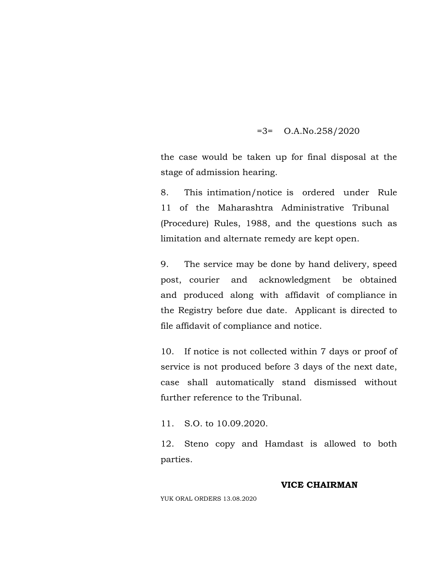### =3= O.A.No.258/2020

the case would be taken up for final disposal at the stage of admission hearing.

8. This intimation/notice is ordered under Rule 11 of the Maharashtra Administrative Tribunal (Procedure) Rules, 1988, and the questions such as limitation and alternate remedy are kept open.

9. The service may be done by hand delivery, speed post, courier and acknowledgment be obtained and produced along with affidavit of compliance in the Registry before due date. Applicant is directed to file affidavit of compliance and notice.

10. If notice is not collected within 7 days or proof of service is not produced before 3 days of the next date, case shall automatically stand dismissed without further reference to the Tribunal.

11. S.O. to 10.09.2020.

12. Steno copy and Hamdast is allowed to both parties.

### **VICE CHAIRMAN**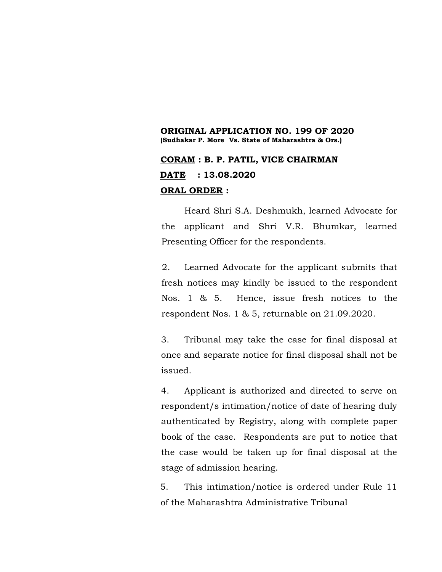### **ORIGINAL APPLICATION NO. 199 OF 2020 (Sudhakar P. More Vs. State of Maharashtra & Ors.)**

## **CORAM : B. P. PATIL, VICE CHAIRMAN DATE : 13.08.2020 ORAL ORDER :**

Heard Shri S.A. Deshmukh, learned Advocate for the applicant and Shri V.R. Bhumkar, learned Presenting Officer for the respondents.

2. Learned Advocate for the applicant submits that fresh notices may kindly be issued to the respondent Nos. 1 & 5. Hence, issue fresh notices to the respondent Nos. 1 & 5, returnable on 21.09.2020.

3. Tribunal may take the case for final disposal at once and separate notice for final disposal shall not be issued.

4. Applicant is authorized and directed to serve on respondent/s intimation/notice of date of hearing duly authenticated by Registry, along with complete paper book of the case. Respondents are put to notice that the case would be taken up for final disposal at the stage of admission hearing.

5. This intimation/notice is ordered under Rule 11 of the Maharashtra Administrative Tribunal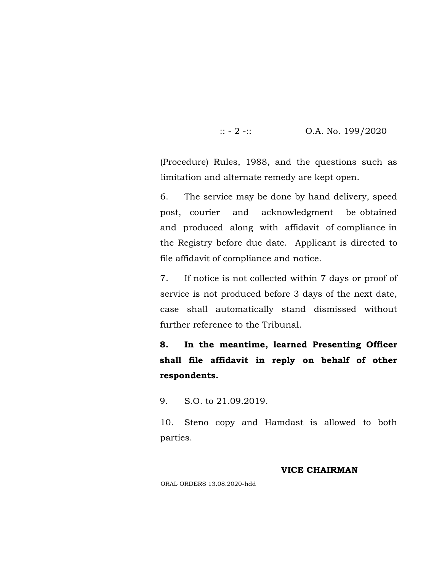::  $-2$  -:: 0.A. No. 199/2020

(Procedure) Rules, 1988, and the questions such as limitation and alternate remedy are kept open.

6. The service may be done by hand delivery, speed post, courier and acknowledgment be obtained and produced along with affidavit of compliance in the Registry before due date. Applicant is directed to file affidavit of compliance and notice.

7. If notice is not collected within 7 days or proof of service is not produced before 3 days of the next date, case shall automatically stand dismissed without further reference to the Tribunal.

**8. In the meantime, learned Presenting Officer shall file affidavit in reply on behalf of other respondents.**

9. S.O. to 21.09.2019.

10. Steno copy and Hamdast is allowed to both parties.

### **VICE CHAIRMAN**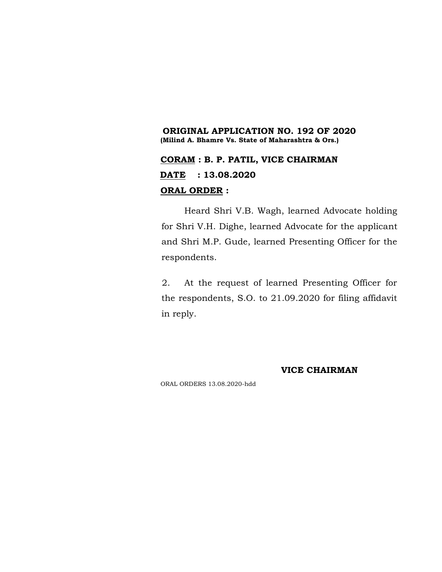### **ORIGINAL APPLICATION NO. 192 OF 2020 (Milind A. Bhamre Vs. State of Maharashtra & Ors.)**

# **CORAM : B. P. PATIL, VICE CHAIRMAN DATE : 13.08.2020 ORAL ORDER :**

Heard Shri V.B. Wagh, learned Advocate holding for Shri V.H. Dighe, learned Advocate for the applicant and Shri M.P. Gude, learned Presenting Officer for the respondents.

2. At the request of learned Presenting Officer for the respondents, S.O. to 21.09.2020 for filing affidavit in reply.

#### **VICE CHAIRMAN**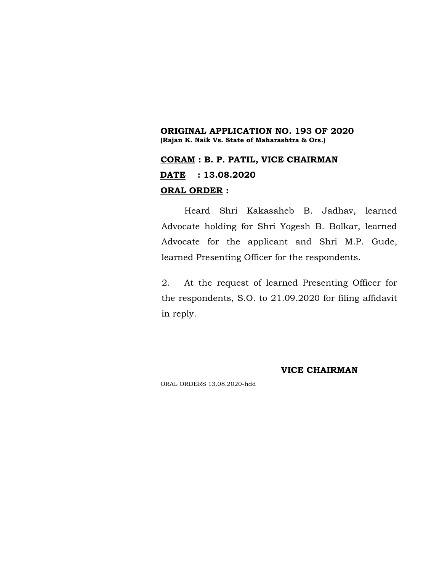### **ORIGINAL APPLICATION NO. 193 OF 2020 (Rajan K. Naik Vs. State of Maharashtra & Ors.)**

## **CORAM : B. P. PATIL, VICE CHAIRMAN DATE : 13.08.2020 ORAL ORDER :**

Heard Shri Kakasaheb B. Jadhav, learned Advocate holding for Shri Yogesh B. Bolkar, learned Advocate for the applicant and Shri M.P. Gude, learned Presenting Officer for the respondents.

2. At the request of learned Presenting Officer for the respondents, S.O. to 21.09.2020 for filing affidavit in reply.

**VICE CHAIRMAN**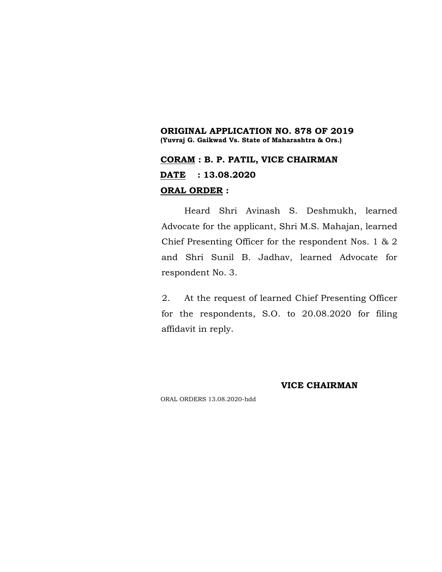### **ORIGINAL APPLICATION NO. 878 OF 2019 (Yuvraj G. Gaikwad Vs. State of Maharashtra & Ors.)**

## **CORAM : B. P. PATIL, VICE CHAIRMAN DATE : 13.08.2020 ORAL ORDER :**

Heard Shri Avinash S. Deshmukh, learned Advocate for the applicant, Shri M.S. Mahajan, learned Chief Presenting Officer for the respondent Nos. 1 & 2 and Shri Sunil B. Jadhav, learned Advocate for respondent No. 3.

2. At the request of learned Chief Presenting Officer for the respondents, S.O. to 20.08.2020 for filing affidavit in reply.

### **VICE CHAIRMAN**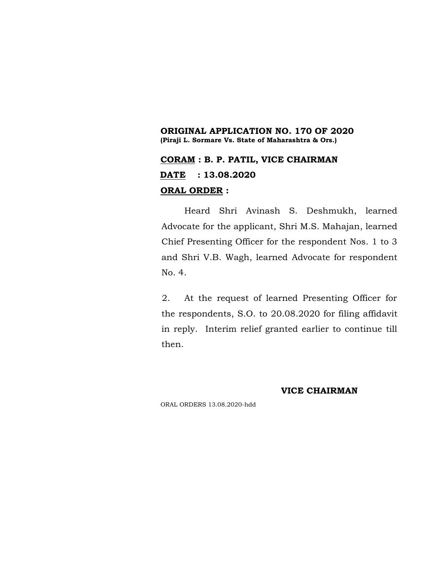### **ORIGINAL APPLICATION NO. 170 OF 2020 (Piraji L. Sormare Vs. State of Maharashtra & Ors.)**

# **CORAM : B. P. PATIL, VICE CHAIRMAN DATE : 13.08.2020 ORAL ORDER :**

Heard Shri Avinash S. Deshmukh, learned Advocate for the applicant, Shri M.S. Mahajan, learned Chief Presenting Officer for the respondent Nos. 1 to 3 and Shri V.B. Wagh, learned Advocate for respondent No. 4.

2. At the request of learned Presenting Officer for the respondents, S.O. to 20.08.2020 for filing affidavit in reply. Interim relief granted earlier to continue till then.

#### **VICE CHAIRMAN**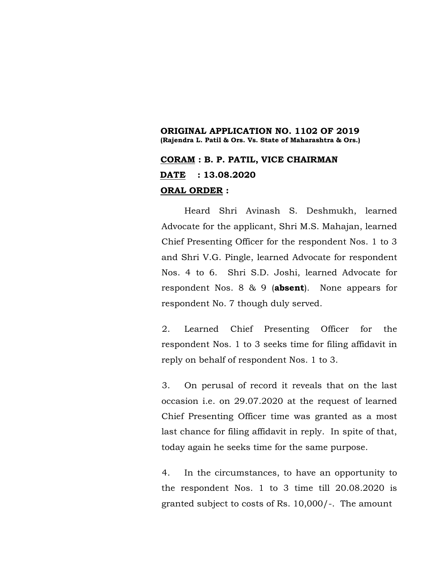### **ORIGINAL APPLICATION NO. 1102 OF 2019 (Rajendra L. Patil & Ors. Vs. State of Maharashtra & Ors.)**

## **CORAM : B. P. PATIL, VICE CHAIRMAN DATE : 13.08.2020 ORAL ORDER :**

Heard Shri Avinash S. Deshmukh, learned Advocate for the applicant, Shri M.S. Mahajan, learned Chief Presenting Officer for the respondent Nos. 1 to 3 and Shri V.G. Pingle, learned Advocate for respondent Nos. 4 to 6. Shri S.D. Joshi, learned Advocate for respondent Nos. 8 & 9 (**absent**). None appears for respondent No. 7 though duly served.

2. Learned Chief Presenting Officer for the respondent Nos. 1 to 3 seeks time for filing affidavit in reply on behalf of respondent Nos. 1 to 3.

3. On perusal of record it reveals that on the last occasion i.e. on 29.07.2020 at the request of learned Chief Presenting Officer time was granted as a most last chance for filing affidavit in reply. In spite of that, today again he seeks time for the same purpose.

4. In the circumstances, to have an opportunity to the respondent Nos. 1 to 3 time till 20.08.2020 is granted subject to costs of Rs. 10,000/-. The amount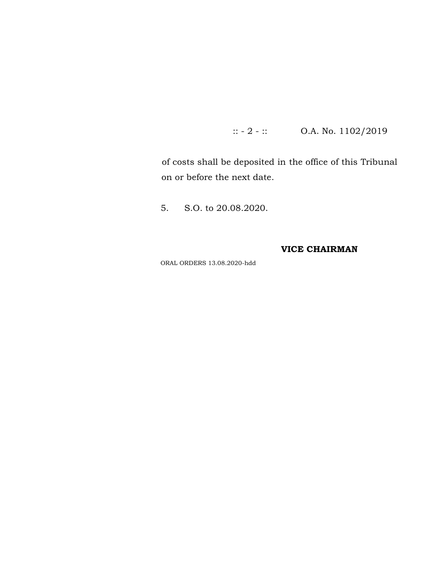:: - 2 - :: O.A. No. 1102/2019

of costs shall be deposited in the office of this Tribunal on or before the next date.

5. S.O. to 20.08.2020.

**VICE CHAIRMAN**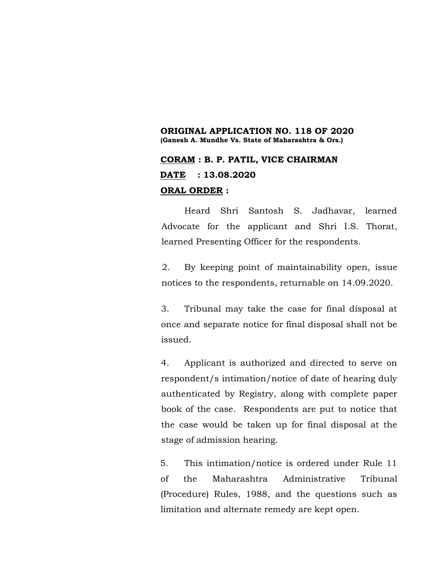### **ORIGINAL APPLICATION NO. 118 OF 2020 (Ganesh A. Mundhe Vs. State of Maharashtra & Ors.)**

### **CORAM : B. P. PATIL, VICE CHAIRMAN DATE : 13.08.2020 ORAL ORDER :**

Heard Shri Santosh S. Jadhavar, learned Advocate for the applicant and Shri I.S. Thorat, learned Presenting Officer for the respondents.

2. By keeping point of maintainability open, issue notices to the respondents, returnable on 14.09.2020.

3. Tribunal may take the case for final disposal at once and separate notice for final disposal shall not be issued.

4. Applicant is authorized and directed to serve on respondent/s intimation/notice of date of hearing duly authenticated by Registry, along with complete paper book of the case. Respondents are put to notice that the case would be taken up for final disposal at the stage of admission hearing.

5. This intimation/notice is ordered under Rule 11 of the Maharashtra Administrative Tribunal (Procedure) Rules, 1988, and the questions such as limitation and alternate remedy are kept open.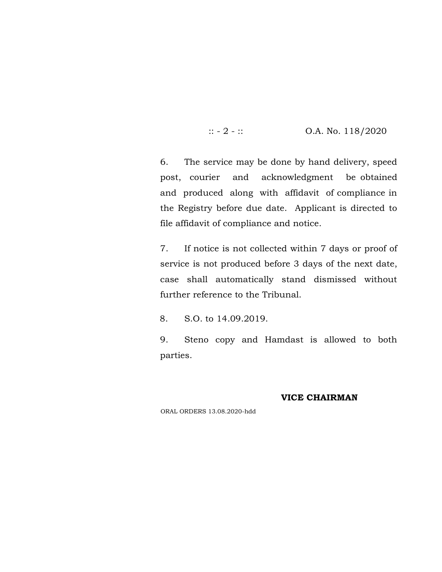$\therefore$  - 2 -  $\therefore$  O.A. No. 118/2020

6. The service may be done by hand delivery, speed post, courier and acknowledgment be obtained and produced along with affidavit of compliance in the Registry before due date. Applicant is directed to file affidavit of compliance and notice.

7. If notice is not collected within 7 days or proof of service is not produced before 3 days of the next date, case shall automatically stand dismissed without further reference to the Tribunal.

8. S.O. to 14.09.2019.

9. Steno copy and Hamdast is allowed to both parties.

#### **VICE CHAIRMAN**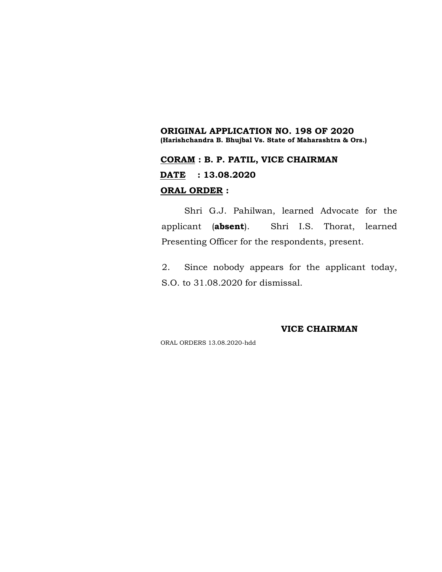### **ORIGINAL APPLICATION NO. 198 OF 2020 (Harishchandra B. Bhujbal Vs. State of Maharashtra & Ors.)**

## **CORAM : B. P. PATIL, VICE CHAIRMAN DATE : 13.08.2020 ORAL ORDER :**

Shri G.J. Pahilwan, learned Advocate for the applicant (**absent**). Shri I.S. Thorat, learned Presenting Officer for the respondents, present.

2. Since nobody appears for the applicant today, S.O. to 31.08.2020 for dismissal.

#### **VICE CHAIRMAN**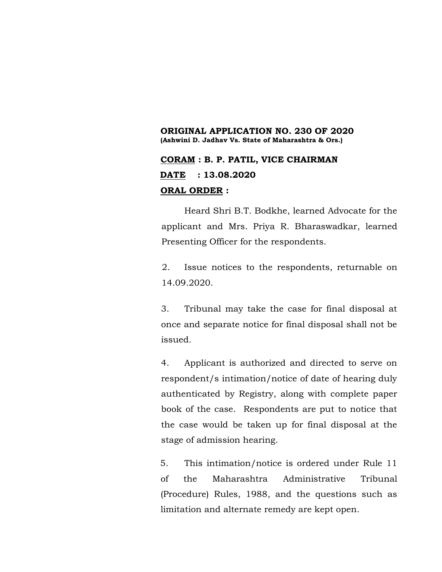### **ORIGINAL APPLICATION NO. 230 OF 2020 (Ashwini D. Jadhav Vs. State of Maharashtra & Ors.)**

## **CORAM : B. P. PATIL, VICE CHAIRMAN DATE : 13.08.2020 ORAL ORDER :**

Heard Shri B.T. Bodkhe, learned Advocate for the applicant and Mrs. Priya R. Bharaswadkar, learned Presenting Officer for the respondents.

2. Issue notices to the respondents, returnable on 14.09.2020.

3. Tribunal may take the case for final disposal at once and separate notice for final disposal shall not be issued.

4. Applicant is authorized and directed to serve on respondent/s intimation/notice of date of hearing duly authenticated by Registry, along with complete paper book of the case. Respondents are put to notice that the case would be taken up for final disposal at the stage of admission hearing.

5. This intimation/notice is ordered under Rule 11 of the Maharashtra Administrative Tribunal (Procedure) Rules, 1988, and the questions such as limitation and alternate remedy are kept open.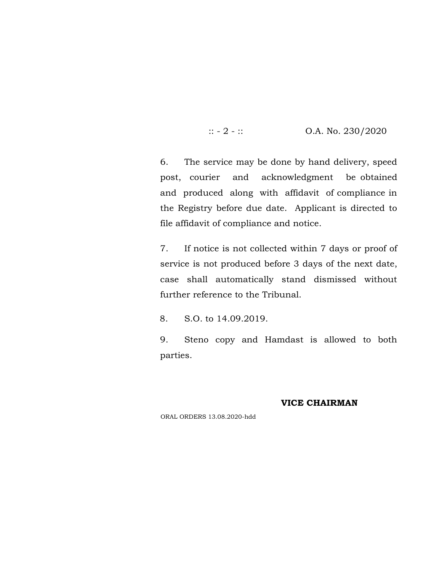$\therefore$  - 2 -  $\therefore$  O.A. No. 230/2020

6. The service may be done by hand delivery, speed post, courier and acknowledgment be obtained and produced along with affidavit of compliance in the Registry before due date. Applicant is directed to file affidavit of compliance and notice.

7. If notice is not collected within 7 days or proof of service is not produced before 3 days of the next date, case shall automatically stand dismissed without further reference to the Tribunal.

8. S.O. to 14.09.2019.

9. Steno copy and Hamdast is allowed to both parties.

### **VICE CHAIRMAN**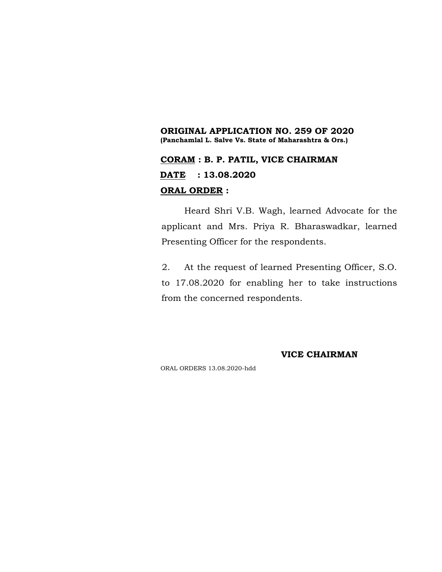### **ORIGINAL APPLICATION NO. 259 OF 2020 (Panchamlal L. Salve Vs. State of Maharashtra & Ors.)**

# **CORAM : B. P. PATIL, VICE CHAIRMAN DATE : 13.08.2020 ORAL ORDER :**

Heard Shri V.B. Wagh, learned Advocate for the applicant and Mrs. Priya R. Bharaswadkar, learned Presenting Officer for the respondents.

2. At the request of learned Presenting Officer, S.O. to 17.08.2020 for enabling her to take instructions from the concerned respondents.

**VICE CHAIRMAN**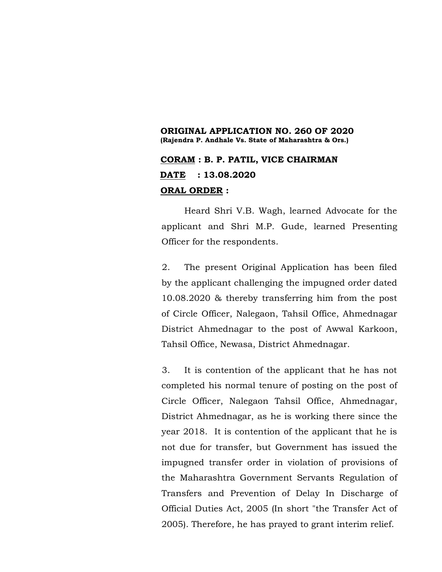### **ORIGINAL APPLICATION NO. 260 OF 2020 (Rajendra P. Andhale Vs. State of Maharashtra & Ors.)**

## **CORAM : B. P. PATIL, VICE CHAIRMAN DATE : 13.08.2020 ORAL ORDER :**

Heard Shri V.B. Wagh, learned Advocate for the applicant and Shri M.P. Gude, learned Presenting Officer for the respondents.

2. The present Original Application has been filed by the applicant challenging the impugned order dated 10.08.2020 & thereby transferring him from the post of Circle Officer, Nalegaon, Tahsil Office, Ahmednagar District Ahmednagar to the post of Awwal Karkoon, Tahsil Office, Newasa, District Ahmednagar.

3. It is contention of the applicant that he has not completed his normal tenure of posting on the post of Circle Officer, Nalegaon Tahsil Office, Ahmednagar, District Ahmednagar, as he is working there since the year 2018. It is contention of the applicant that he is not due for transfer, but Government has issued the impugned transfer order in violation of provisions of the Maharashtra Government Servants Regulation of Transfers and Prevention of Delay In Discharge of Official Duties Act, 2005 (In short "the Transfer Act of 2005). Therefore, he has prayed to grant interim relief.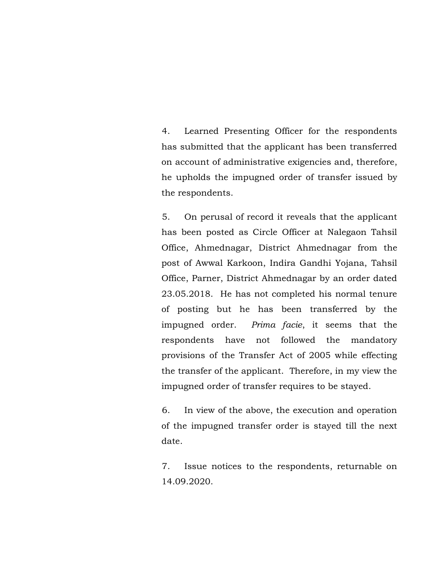4. Learned Presenting Officer for the respondents has submitted that the applicant has been transferred on account of administrative exigencies and, therefore, he upholds the impugned order of transfer issued by the respondents.

5. On perusal of record it reveals that the applicant has been posted as Circle Officer at Nalegaon Tahsil Office, Ahmednagar, District Ahmednagar from the post of Awwal Karkoon, Indira Gandhi Yojana, Tahsil Office, Parner, District Ahmednagar by an order dated 23.05.2018. He has not completed his normal tenure of posting but he has been transferred by the impugned order. *Prima facie*, it seems that the respondents have not followed the mandatory provisions of the Transfer Act of 2005 while effecting the transfer of the applicant. Therefore, in my view the impugned order of transfer requires to be stayed.

6. In view of the above, the execution and operation of the impugned transfer order is stayed till the next date.

7. Issue notices to the respondents, returnable on 14.09.2020.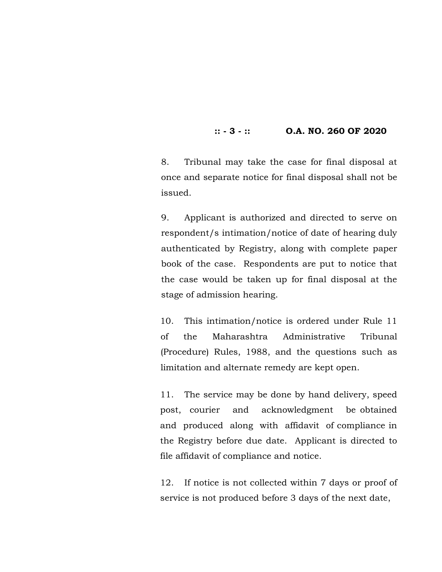### **:: - 3 - :: O.A. NO. 260 OF 2020**

8. Tribunal may take the case for final disposal at once and separate notice for final disposal shall not be issued.

9. Applicant is authorized and directed to serve on respondent/s intimation/notice of date of hearing duly authenticated by Registry, along with complete paper book of the case. Respondents are put to notice that the case would be taken up for final disposal at the stage of admission hearing.

10. This intimation/notice is ordered under Rule 11 of the Maharashtra Administrative Tribunal (Procedure) Rules, 1988, and the questions such as limitation and alternate remedy are kept open.

11. The service may be done by hand delivery, speed post, courier and acknowledgment be obtained and produced along with affidavit of compliance in the Registry before due date. Applicant is directed to file affidavit of compliance and notice.

12. If notice is not collected within 7 days or proof of service is not produced before 3 days of the next date,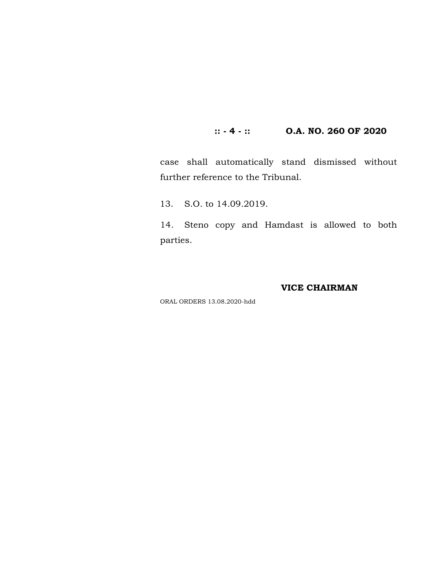### **:: - 4 - :: O.A. NO. 260 OF 2020**

case shall automatically stand dismissed without further reference to the Tribunal.

13. S.O. to 14.09.2019.

14. Steno copy and Hamdast is allowed to both parties.

### **VICE CHAIRMAN**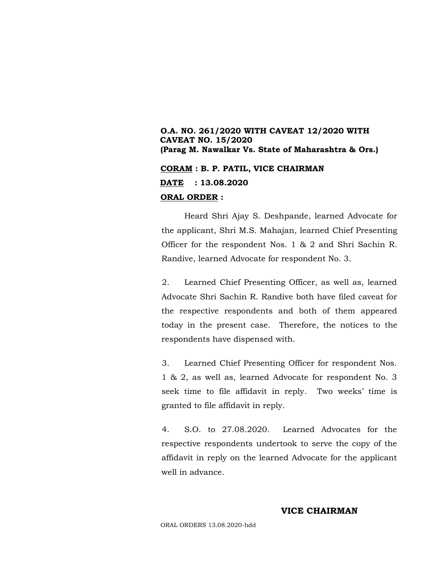## **O.A. NO. 261/2020 WITH CAVEAT 12/2020 WITH CAVEAT NO. 15/2020 (Parag M. Nawalkar Vs. State of Maharashtra & Ors.)**

### **CORAM : B. P. PATIL, VICE CHAIRMAN DATE : 13.08.2020 ORAL ORDER :**

Heard Shri Ajay S. Deshpande, learned Advocate for the applicant, Shri M.S. Mahajan, learned Chief Presenting Officer for the respondent Nos. 1 & 2 and Shri Sachin R. Randive, learned Advocate for respondent No. 3.

2. Learned Chief Presenting Officer, as well as, learned Advocate Shri Sachin R. Randive both have filed caveat for the respective respondents and both of them appeared today in the present case. Therefore, the notices to the respondents have dispensed with.

3. Learned Chief Presenting Officer for respondent Nos. 1 & 2, as well as, learned Advocate for respondent No. 3 seek time to file affidavit in reply. Two weeks' time is granted to file affidavit in reply.

4. S.O. to 27.08.2020. Learned Advocates for the respective respondents undertook to serve the copy of the affidavit in reply on the learned Advocate for the applicant well in advance.

#### **VICE CHAIRMAN**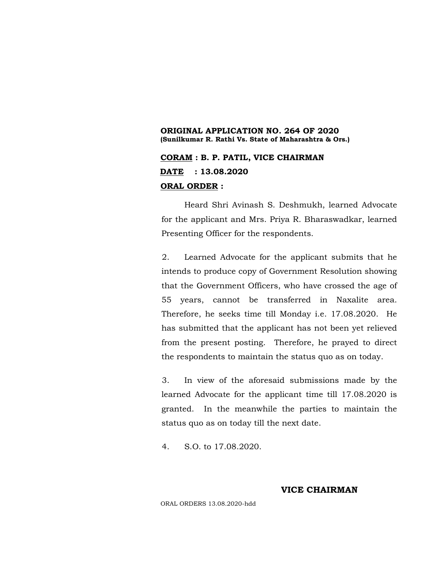### **ORIGINAL APPLICATION NO. 264 OF 2020 (Sunilkumar R. Rathi Vs. State of Maharashtra & Ors.)**

**CORAM : B. P. PATIL, VICE CHAIRMAN DATE : 13.08.2020 ORAL ORDER :**

Heard Shri Avinash S. Deshmukh, learned Advocate for the applicant and Mrs. Priya R. Bharaswadkar, learned Presenting Officer for the respondents.

2. Learned Advocate for the applicant submits that he intends to produce copy of Government Resolution showing that the Government Officers, who have crossed the age of 55 years, cannot be transferred in Naxalite area. Therefore, he seeks time till Monday i.e. 17.08.2020. He has submitted that the applicant has not been yet relieved from the present posting. Therefore, he prayed to direct the respondents to maintain the status quo as on today.

3. In view of the aforesaid submissions made by the learned Advocate for the applicant time till 17.08.2020 is granted. In the meanwhile the parties to maintain the status quo as on today till the next date.

4. S.O. to 17.08.2020.

**VICE CHAIRMAN**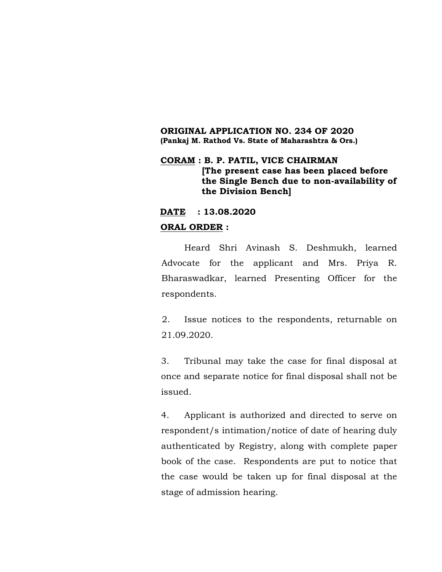### **ORIGINAL APPLICATION NO. 234 OF 2020 (Pankaj M. Rathod Vs. State of Maharashtra & Ors.)**

### **CORAM : B. P. PATIL, VICE CHAIRMAN [The present case has been placed before the Single Bench due to non-availability of the Division Bench]**

### **DATE : 13.08.2020**

### **ORAL ORDER :**

Heard Shri Avinash S. Deshmukh, learned Advocate for the applicant and Mrs. Priya R. Bharaswadkar, learned Presenting Officer for the respondents.

2. Issue notices to the respondents, returnable on 21.09.2020.

3. Tribunal may take the case for final disposal at once and separate notice for final disposal shall not be issued.

4. Applicant is authorized and directed to serve on respondent/s intimation/notice of date of hearing duly authenticated by Registry, along with complete paper book of the case. Respondents are put to notice that the case would be taken up for final disposal at the stage of admission hearing.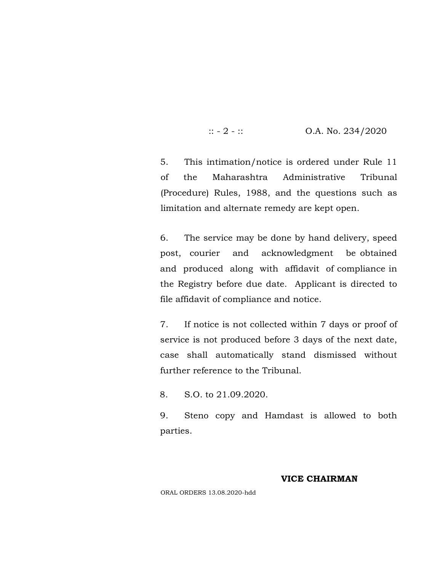$\therefore$  - 2 -  $\therefore$  O.A. No. 234/2020

5. This intimation/notice is ordered under Rule 11 of the Maharashtra Administrative Tribunal (Procedure) Rules, 1988, and the questions such as limitation and alternate remedy are kept open.

6. The service may be done by hand delivery, speed post, courier and acknowledgment be obtained and produced along with affidavit of compliance in the Registry before due date. Applicant is directed to file affidavit of compliance and notice.

7. If notice is not collected within 7 days or proof of service is not produced before 3 days of the next date, case shall automatically stand dismissed without further reference to the Tribunal.

8. S.O. to 21.09.2020.

9. Steno copy and Hamdast is allowed to both parties.

### **VICE CHAIRMAN**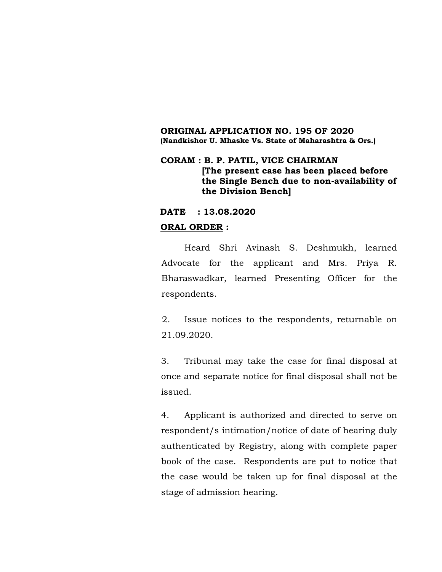### **ORIGINAL APPLICATION NO. 195 OF 2020 (Nandkishor U. Mhaske Vs. State of Maharashtra & Ors.)**

### **CORAM : B. P. PATIL, VICE CHAIRMAN [The present case has been placed before the Single Bench due to non-availability of the Division Bench]**

### **DATE : 13.08.2020**

### **ORAL ORDER :**

Heard Shri Avinash S. Deshmukh, learned Advocate for the applicant and Mrs. Priya R. Bharaswadkar, learned Presenting Officer for the respondents.

2. Issue notices to the respondents, returnable on 21.09.2020.

3. Tribunal may take the case for final disposal at once and separate notice for final disposal shall not be issued.

4. Applicant is authorized and directed to serve on respondent/s intimation/notice of date of hearing duly authenticated by Registry, along with complete paper book of the case. Respondents are put to notice that the case would be taken up for final disposal at the stage of admission hearing.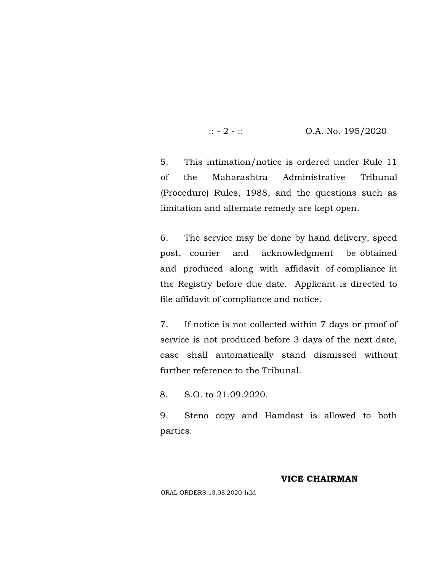$\therefore$  - 2 -  $\therefore$  O.A. No. 195/2020

5. This intimation/notice is ordered under Rule 11 of the Maharashtra Administrative Tribunal (Procedure) Rules, 1988, and the questions such as limitation and alternate remedy are kept open.

6. The service may be done by hand delivery, speed post, courier and acknowledgment be obtained and produced along with affidavit of compliance in the Registry before due date. Applicant is directed to file affidavit of compliance and notice.

7. If notice is not collected within 7 days or proof of service is not produced before 3 days of the next date, case shall automatically stand dismissed without further reference to the Tribunal.

8. S.O. to 21.09.2020.

9. Steno copy and Hamdast is allowed to both parties.

### **VICE CHAIRMAN**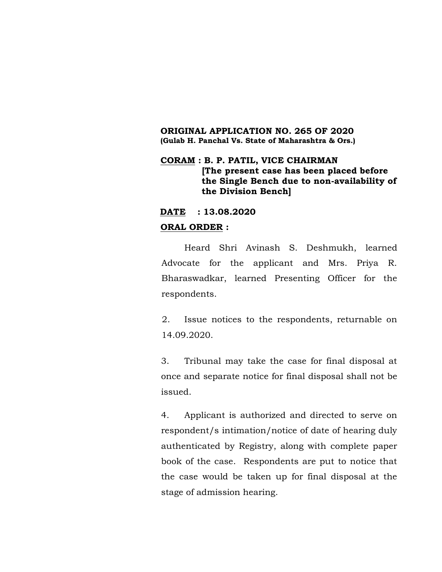### **ORIGINAL APPLICATION NO. 265 OF 2020 (Gulab H. Panchal Vs. State of Maharashtra & Ors.)**

### **CORAM : B. P. PATIL, VICE CHAIRMAN [The present case has been placed before the Single Bench due to non-availability of the Division Bench]**

### **DATE : 13.08.2020**

### **ORAL ORDER :**

Heard Shri Avinash S. Deshmukh, learned Advocate for the applicant and Mrs. Priya R. Bharaswadkar, learned Presenting Officer for the respondents.

2. Issue notices to the respondents, returnable on 14.09.2020.

3. Tribunal may take the case for final disposal at once and separate notice for final disposal shall not be issued.

4. Applicant is authorized and directed to serve on respondent/s intimation/notice of date of hearing duly authenticated by Registry, along with complete paper book of the case. Respondents are put to notice that the case would be taken up for final disposal at the stage of admission hearing.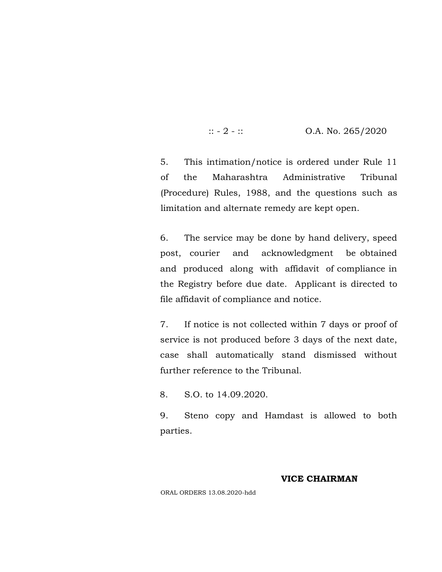$\therefore$  - 2 -  $\therefore$  O.A. No. 265/2020

5. This intimation/notice is ordered under Rule 11 of the Maharashtra Administrative Tribunal (Procedure) Rules, 1988, and the questions such as limitation and alternate remedy are kept open.

6. The service may be done by hand delivery, speed post, courier and acknowledgment be obtained and produced along with affidavit of compliance in the Registry before due date. Applicant is directed to file affidavit of compliance and notice.

7. If notice is not collected within 7 days or proof of service is not produced before 3 days of the next date, case shall automatically stand dismissed without further reference to the Tribunal.

8. S.O. to 14.09.2020.

9. Steno copy and Hamdast is allowed to both parties.

### **VICE CHAIRMAN**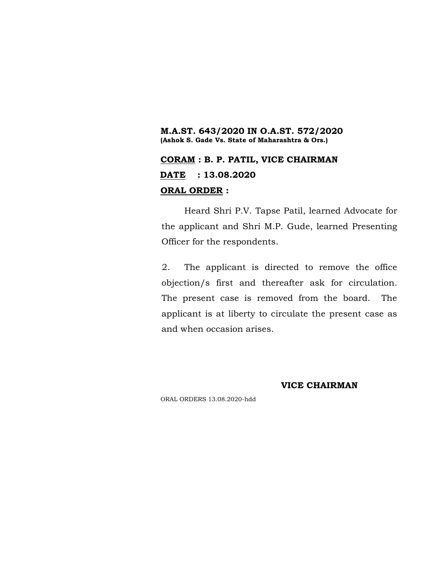### **M.A.ST. 643/2020 IN O.A.ST. 572/2020 (Ashok S. Gade Vs. State of Maharashtra & Ors.)**

## **CORAM : B. P. PATIL, VICE CHAIRMAN DATE : 13.08.2020 ORAL ORDER :**

Heard Shri P.V. Tapse Patil, learned Advocate for the applicant and Shri M.P. Gude, learned Presenting Officer for the respondents.

2. The applicant is directed to remove the office objection/s first and thereafter ask for circulation. The present case is removed from the board. The applicant is at liberty to circulate the present case as and when occasion arises.

### **VICE CHAIRMAN**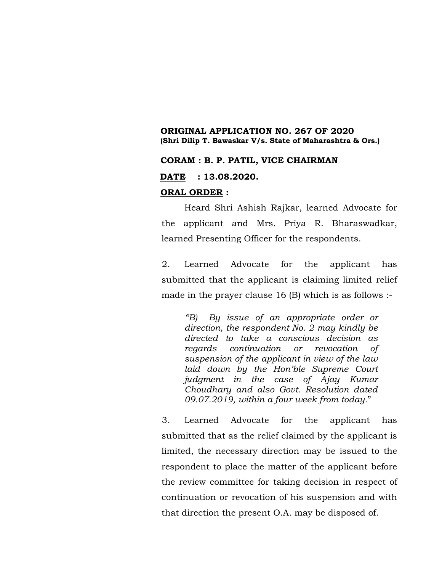### **ORIGINAL APPLICATION NO. 267 OF 2020 (Shri Dilip T. Bawaskar V/s. State of Maharashtra & Ors.)**

### **CORAM : B. P. PATIL, VICE CHAIRMAN**

**DATE : 13.08.2020.**

#### **ORAL ORDER :**

Heard Shri Ashish Rajkar, learned Advocate for the applicant and Mrs. Priya R. Bharaswadkar, learned Presenting Officer for the respondents.

2. Learned Advocate for the applicant has submitted that the applicant is claiming limited relief made in the prayer clause 16 (B) which is as follows :-

*"B) By issue of an appropriate order or direction, the respondent No. 2 may kindly be directed to take a conscious decision as regards continuation or revocation of suspension of the applicant in view of the law laid down by the Hon'ble Supreme Court judgment in the case of Ajay Kumar Choudhary and also Govt. Resolution dated 09.07.2019, within a four week from today.*"

3. Learned Advocate for the applicant has submitted that as the relief claimed by the applicant is limited, the necessary direction may be issued to the respondent to place the matter of the applicant before the review committee for taking decision in respect of continuation or revocation of his suspension and with that direction the present O.A. may be disposed of.